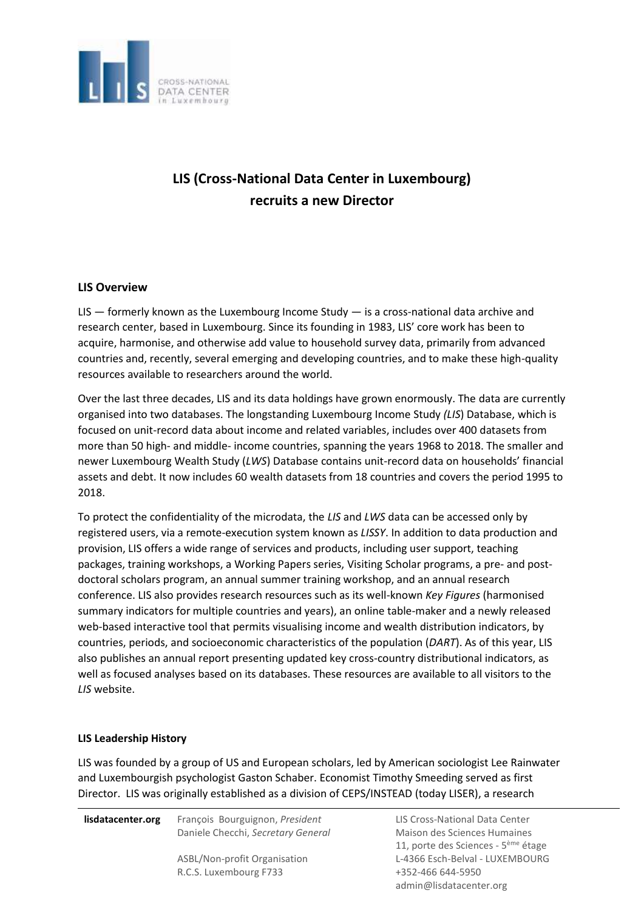

# **LIS (Cross-National Data Center in Luxembourg) recruits a new Director**

# **LIS Overview**

[LIS](http://www.lisdatacenter.org/)  $-$  formerly known as the Luxembourg Income Study  $-$  is a cross-national data archive and research center, based in Luxembourg. Since its founding in 1983, LIS' core work has been to acquire, harmonise, and otherwise add value to household survey data, primarily from advanced countries and, recently, several emerging and developing countries, and to make these high-quality resources available to researchers around the world.

Over the last three decades, LIS and its data holdings have grown enormously. The data are currently organised into two databases. The longstanding [Luxembourg](http://www.lisdatacenter.org/our-data/lis-database/) [Income](http://www.lisdatacenter.org/our-data/lis-database/) [Study](http://www.lisdatacenter.org/our-data/lis-database/) *[\(LIS](http://www.lisdatacenter.org/our-data/lis-database/)*) [Database,](http://www.lisdatacenter.org/our-data/lis-database/) [w](http://www.lisdatacenter.org/our-data/lis-database/)hich is focused on unit-record data about income and related variables, includes over 400 datasets from more than 50 high- and middle- income countries, spanning the years 1968 to 2018. The smaller and newer [Luxembourg](http://www.lisdatacenter.org/our-data/lws-database/) [Wealth](http://www.lisdatacenter.org/our-data/lws-database/) [Study](http://www.lisdatacenter.org/our-data/lws-database/) (*[LWS](http://www.lisdatacenter.org/our-data/lws-database/)*) [Database](http://www.lisdatacenter.org/our-data/lws-database/) contains unit-record data on households' financial assets and debt. It now includes 60 wealth datasets from 18 countries and covers the period 1995 to 2018.

To protect the confidentiality of the microdata, the *LIS* and *LWS* data can be accessed only by registered users, via a remote-execution system known as *LISSY*. In addition to data production and provision, LIS offers a wide range of services and products, including user support, teaching packages, training workshops, a Working Papers series, Visiting Scholar programs, a pre- and postdoctoral scholars program, an annual summer training workshop, and an annual research conference. LIS also provides research resources such as its well-known *Key Figures* (harmonised summary indicators for multiple countries and years), an online table-maker and a newly released web-based interactive tool that permits visualising income and wealth distribution indicators, by countries, periods, and socioeconomic characteristics of the population (*DART*). As of this year, LIS also publishes an annual report presenting updated key cross-country distributional indicators, as well as focused analyses based on its databases. These resources are available to all visitors to the *LIS* [website.](http://www.lisdatacenter.org/)

# **LIS Leadership History**

LIS was founded by a group of US and European scholars, led by American sociologist Lee Rainwater and Luxembourgish psychologist Gaston Schaber. Economist Timothy Smeeding served as first Director. LIS was originally established as a division of CEPS/INSTEAD (today LISER), a research

**lisdatacenter.org** François Bourguignon, *President* Daniele Checchi, *Secretary General* ASBL/Non-profit Organisation

R.C.S. Luxembourg F733

LIS Cross-National Data Center Maison des Sciences Humaines 11, porte des Sciences - 5<sup>ème</sup> étage L-4366 Esch-Belval - LUXEMBOURG +352-466 644-5950 admin@lisdatacenter.org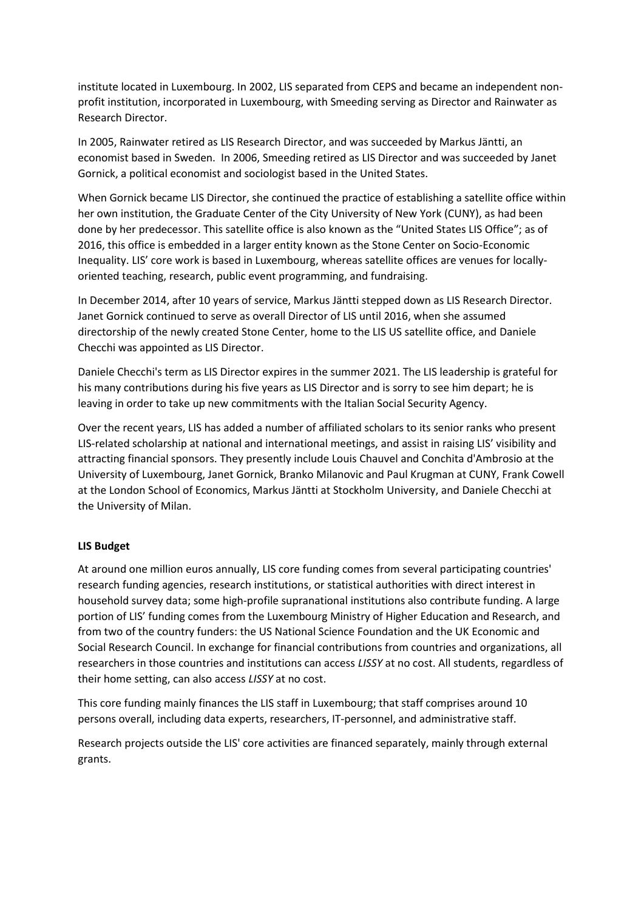institute located in Luxembourg. In 2002, LIS separated from CEPS and became an independent nonprofit institution, incorporated in Luxembourg, with Smeeding serving as Director and Rainwater as Research Director.

In 2005, Rainwater retired as LIS Research Director, and was succeeded by Markus Jäntti, an economist based in Sweden. In 2006, Smeeding retired as LIS Director and was succeeded by Janet Gornick, a political economist and sociologist based in the United States.

When Gornick became LIS Director, she continued the practice of establishing a satellite office within her own institution, the Graduate Center of the City University of New York (CUNY), as had been done by her predecessor. This satellite office is also known as the "United States LIS Office"; as of 2016, this office is embedded in a larger entity known as the Stone Center on Socio-Economic Inequality. LIS' core work is based in Luxembourg, whereas satellite offices are venues for locallyoriented teaching, research, public event programming, and fundraising.

In December 2014, after 10 years of service, Markus Jäntti stepped down as LIS Research Director. Janet Gornick continued to serve as overall Director of LIS until 2016, when she assumed directorship of the newly created Stone Center, home to the LIS US satellite office, and Daniele Checchi was appointed as LIS Director.

Daniele Checchi's term as LIS Director expires in the summer 2021. The LIS leadership is grateful for his many contributions during his five years as LIS Director and is sorry to see him depart; he is leaving in order to take up new commitments with the Italian Social Security Agency.

Over the recent years, LIS has added a number of affiliated scholars to its senior ranks who present LIS-related scholarship at national and international meetings, and assist in raising LIS' visibility and attracting financial sponsors. They presently include Louis Chauvel and Conchita d'Ambrosio at the University of Luxembourg, Janet Gornick, Branko Milanovic and Paul Krugman at CUNY, Frank Cowell at the London School of Economics, Markus Jäntti at Stockholm University, and Daniele Checchi at the University of Milan.

#### **LIS Budget**

At around one million euros annually, LIS core funding comes from several participating countries' research funding agencies, research institutions, or statistical authorities with direct interest in household survey data; some high-profile supranational institutions also contribute funding. A large portion of LIS' funding comes from the Luxembourg Ministry of Higher Education and Research, and from two of the country funders: the US National Science Foundation and the UK Economic and Social Research Council. In exchange for financial contributions from countries and organizations, all researchers in those countries and institutions can access *LISSY* at no cost. All students, regardless of their home setting, can also access *LISSY* at no cost.

This core funding mainly finances the LIS staff in Luxembourg; that staff comprises around 10 persons overall, including data experts, researchers, IT-personnel, and administrative staff.

Research projects outside the LIS' core activities are financed separately, mainly through external grants.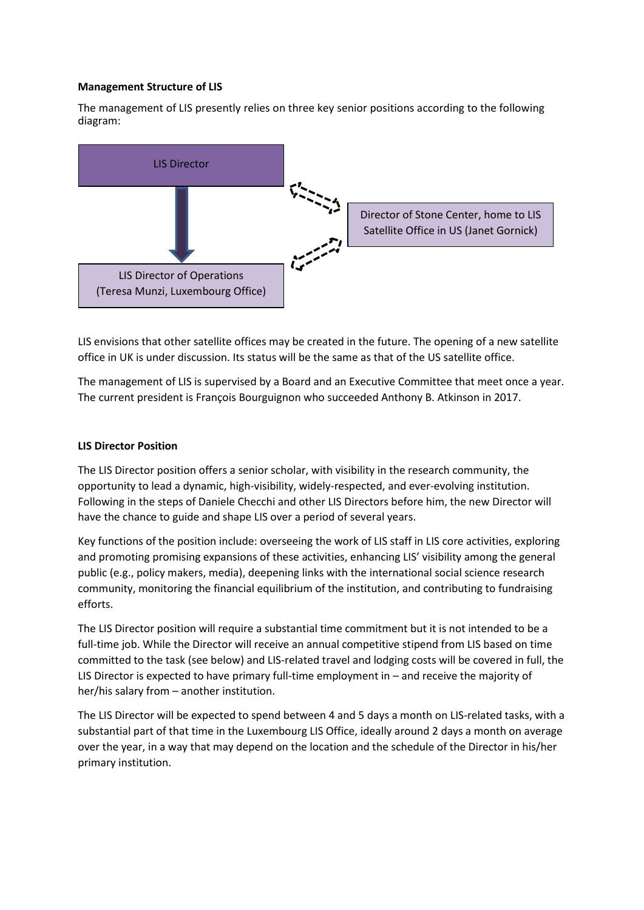## **Management Structure of LIS**

The management of LIS presently relies on three key senior positions according to the following diagram:



LIS envisions that other satellite offices may be created in the future. The opening of a new satellite office in UK is under discussion. Its status will be the same as that of the US satellite office.

The management of LIS is supervised by a Board and an Executive Committee that meet once a year. The current president is François Bourguignon who succeeded Anthony B. Atkinson in 2017.

#### **LIS Director Position**

The LIS Director position offers a senior scholar, with visibility in the research community, the opportunity to lead a dynamic, high-visibility, widely-respected, and ever-evolving institution. Following in the steps of Daniele Checchi and other LIS Directors before him, the new Director will have the chance to guide and shape LIS over a period of several years.

Key functions of the position include: overseeing the work of LIS staff in LIS core activities, exploring and promoting promising expansions of these activities, enhancing LIS' visibility among the general public (e.g., policy makers, media), deepening links with the international social science research community, monitoring the financial equilibrium of the institution, and contributing to fundraising efforts.

The LIS Director position will require a substantial time commitment but it is not intended to be a full-time job. While the Director will receive an annual competitive stipend from LIS based on time committed to the task (see below) and LIS-related travel and lodging costs will be covered in full, the LIS Director is expected to have primary full-time employment in – and receive the majority of her/his salary from – another institution.

The LIS Director will be expected to spend between 4 and 5 days a month on LIS-related tasks, with a substantial part of that time in the Luxembourg LIS Office, ideally around 2 days a month on average over the year, in a way that may depend on the location and the schedule of the Director in his/her primary institution.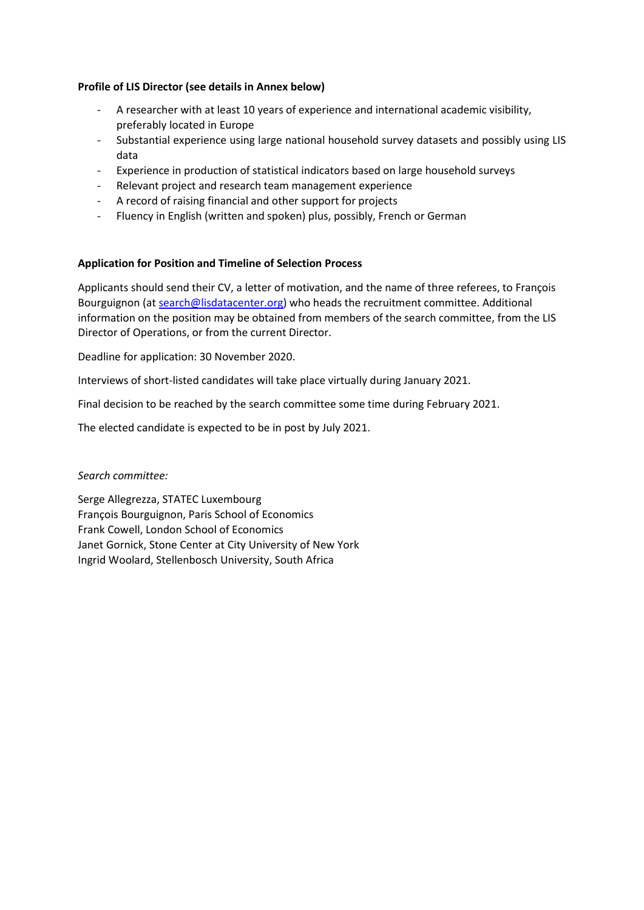## **Profile of LIS Director (see details in Annex below)**

- A researcher with at least 10 years of experience and international academic visibility, preferably located in Europe
- Substantial experience using large national household survey datasets and possibly using LIS data
- Experience in production of statistical indicators based on large household surveys
- Relevant project and research team management experience
- A record of raising financial and other support for projects
- Fluency in English (written and spoken) plus, possibly, French or German

#### **Application for Position and Timeline of Selection Process**

Applicants should send their CV, a letter of motivation, and the name of three referees, to François Bourguignon (at [search@lisdatacenter.org\)](mailto:admin@lisdatacenter.org) who heads the recruitment committee. Additional information on the position may be obtained from members of the search committee, from the LIS Director of Operations, or from the current Director.

Deadline for application: 30 November 2020.

Interviews of short-listed candidates will take place virtually during January 2021.

Final decision to be reached by the search committee some time during February 2021.

The elected candidate is expected to be in post by July 2021.

#### *Search committee:*

Serge Allegrezza, STATEC Luxembourg François Bourguignon, Paris School of Economics Frank Cowell, London School of Economics Janet Gornick, Stone Center at City University of New York Ingrid Woolard, Stellenbosch University, South Africa